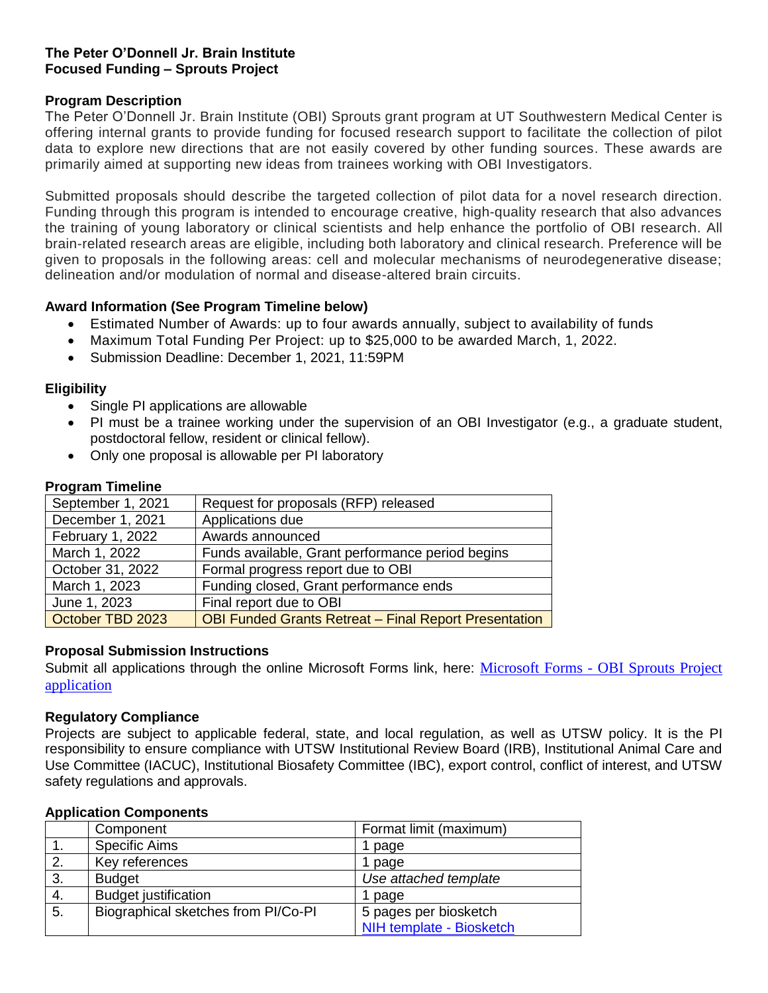# **The Peter O'Donnell Jr. Brain Institute Focused Funding – Sprouts Project**

# **Program Description**

The Peter O'Donnell Jr. Brain Institute (OBI) Sprouts grant program at UT Southwestern Medical Center is offering internal grants to provide funding for focused research support to facilitate the collection of pilot data to explore new directions that are not easily covered by other funding sources. These awards are primarily aimed at supporting new ideas from trainees working with OBI Investigators.

Submitted proposals should describe the targeted collection of pilot data for a novel research direction. Funding through this program is intended to encourage creative, high-quality research that also advances the training of young laboratory or clinical scientists and help enhance the portfolio of OBI research. All brain-related research areas are eligible, including both laboratory and clinical research. Preference will be given to proposals in the following areas: cell and molecular mechanisms of neurodegenerative disease; delineation and/or modulation of normal and disease-altered brain circuits.

# **Award Information (See Program Timeline below)**

- Estimated Number of Awards: up to four awards annually, subject to availability of funds
- Maximum Total Funding Per Project: up to \$25,000 to be awarded March, 1, 2022.
- Submission Deadline: December 1, 2021, 11:59PM

### **Eligibility**

- Single PI applications are allowable
- PI must be a trainee working under the supervision of an OBI Investigator (e.g., a graduate student, postdoctoral fellow, resident or clinical fellow).
- Only one proposal is allowable per PI laboratory

# **Program Timeline**

| September 1, 2021 | Request for proposals (RFP) released                         |
|-------------------|--------------------------------------------------------------|
| December 1, 2021  | Applications due                                             |
| February 1, 2022  | Awards announced                                             |
| March 1, 2022     | Funds available, Grant performance period begins             |
| October 31, 2022  | Formal progress report due to OBI                            |
| March 1, 2023     | Funding closed, Grant performance ends                       |
| June 1, 2023      | Final report due to OBI                                      |
| October TBD 2023  | <b>OBI Funded Grants Retreat - Final Report Presentation</b> |

### **Proposal Submission Instructions**

Submit all applications through the online Microsoft Forms link, here: [Microsoft Forms -](https://forms.office.com/Pages/ResponsePage.aspx?id=lYZBnaxxMUy1ssGWyOw8in0nnORaT6VMhzrxSmKOOnlUNFBUV0YyMTlCQ0VTMDVUQTlBOVhETE4zTy4u) OBI Sprouts Project [application](https://forms.office.com/Pages/ResponsePage.aspx?id=lYZBnaxxMUy1ssGWyOw8in0nnORaT6VMhzrxSmKOOnlUNFBUV0YyMTlCQ0VTMDVUQTlBOVhETE4zTy4u)

### **Regulatory Compliance**

Projects are subject to applicable federal, state, and local regulation, as well as UTSW policy. It is the PI responsibility to ensure compliance with UTSW Institutional Review Board (IRB), Institutional Animal Care and Use Committee (IACUC), Institutional Biosafety Committee (IBC), export control, conflict of interest, and UTSW safety regulations and approvals.

|    | Component                           | Format limit (maximum)   |
|----|-------------------------------------|--------------------------|
|    | <b>Specific Aims</b>                | 1 page                   |
| 2. | Key references                      | 1 page                   |
| 3. | <b>Budget</b>                       | Use attached template    |
| 4. | <b>Budget justification</b>         | 1 page                   |
| 5. | Biographical sketches from PI/Co-PI | 5 pages per biosketch    |
|    |                                     | NIH template - Biosketch |

### **Application Components**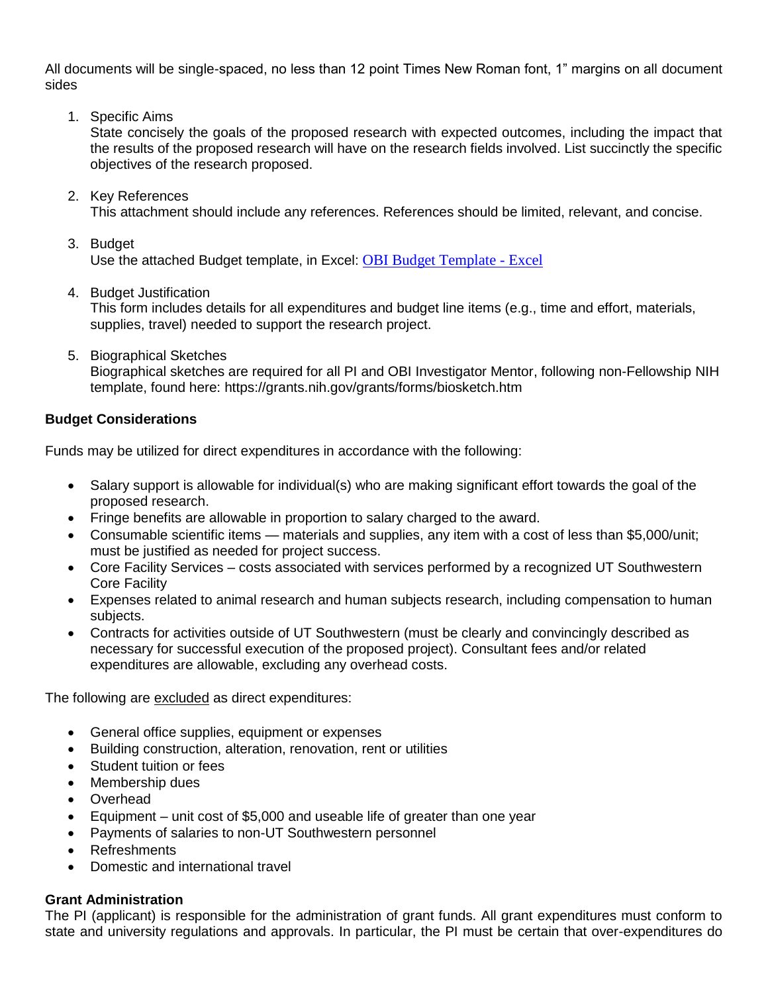All documents will be single-spaced, no less than 12 point Times New Roman font, 1" margins on all document sides

1. Specific Aims

State concisely the goals of the proposed research with expected outcomes, including the impact that the results of the proposed research will have on the research fields involved. List succinctly the specific objectives of the research proposed.

- 2. Key References This attachment should include any references. References should be limited, relevant, and concise.
- 3. Budget Use the attached Budget template, in Excel: [OBI Budget Template -](https://365utsouthwestern.sharepoint.com/:x:/s/OBISharedDrive/EegDSbquhvtMv6anESHm3esB5QPr05aZrqKoF8tveXSRzQ?e=Rzy0LU) Excel
- 4. Budget Justification

This form includes details for all expenditures and budget line items (e.g., time and effort, materials, supplies, travel) needed to support the research project.

5. Biographical Sketches Biographical sketches are required for all PI and OBI Investigator Mentor, following non-Fellowship NIH template, found here: https://grants.nih.gov/grants/forms/biosketch.htm

### **Budget Considerations**

Funds may be utilized for direct expenditures in accordance with the following:

- Salary support is allowable for individual(s) who are making significant effort towards the goal of the proposed research.
- Fringe benefits are allowable in proportion to salary charged to the award.
- Consumable scientific items materials and supplies, any item with a cost of less than \$5,000/unit; must be justified as needed for project success.
- Core Facility Services costs associated with services performed by a recognized UT Southwestern Core Facility
- Expenses related to animal research and human subjects research, including compensation to human subjects.
- Contracts for activities outside of UT Southwestern (must be clearly and convincingly described as necessary for successful execution of the proposed project). Consultant fees and/or related expenditures are allowable, excluding any overhead costs.

The following are excluded as direct expenditures:

- General office supplies, equipment or expenses
- Building construction, alteration, renovation, rent or utilities
- Student tuition or fees
- Membership dues
- Overhead
- Equipment unit cost of \$5,000 and useable life of greater than one year
- Payments of salaries to non-UT Southwestern personnel
- Refreshments
- Domestic and international travel

### **Grant Administration**

The PI (applicant) is responsible for the administration of grant funds. All grant expenditures must conform to state and university regulations and approvals. In particular, the PI must be certain that over-expenditures do